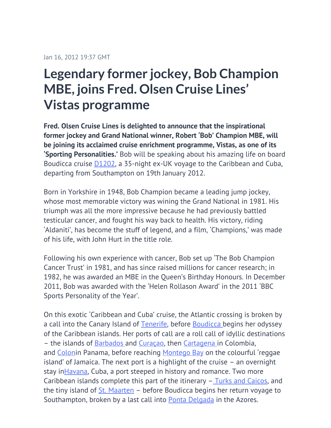## **Legendary former jockey, Bob Champion MBE, joins Fred. Olsen Cruise Lines' Vistas programme**

**Fred. Olsen Cruise Lines is delighted to announce that the inspirational former jockey and Grand National winner, Robert 'Bob' Champion MBE, will be joining its acclaimed cruise enrichment programme, Vistas, as one of its 'Sporting Personalities.'** Bob will be speaking about his amazing life on board Boudicca cruise [D1202,](http://www.fredolsencruises.com/plan-cruise/cruise-details/d1202) a 35-night ex-UK voyage to the Caribbean and Cuba, departing from Southampton on 19th January 2012.

Born in Yorkshire in 1948, Bob Champion became a leading jump jockey, whose most memorable victory was wining the Grand National in 1981. His triumph was all the more impressive because he had previously battled testicular cancer, and fought his way back to health. His victory, riding 'Aldaniti', has become the stuff of legend, and a film, 'Champions,' was made of his life, with John Hurt in the title role.

Following his own experience with cancer, Bob set up 'The Bob Champion Cancer Trust' in 1981, and has since raised millions for cancer research; in 1982, he was awarded an MBE in the Queen's Birthday Honours. In December 2011, Bob was awarded with the 'Helen Rollason Award' in the 2011 'BBC Sports Personality of the Year'.

On this exotic 'Caribbean and Cuba' cruise, the Atlantic crossing is broken by a call into the Canary Island of [Tenerife](http://www.fredolsencruises.com/destinations/canary-island-cruises/-spain/sta-cruz-de-tenerife), before [Boudicca](http://www.fredolsencruises.com/Our-Ships/Boudicca/Boudicca-Cruise-Ship) begins her odyssey of the Caribbean islands. Her ports of call are a roll call of idyllic destinations – the islands of [Barbados a](http://www.fredolsencruises.com/destinations/caribbean-cruises/barbados/bridgetown)nd [Curaçao](http://www.fredolsencruises.com/destinations/caribbean-cruises/netherlands-antilles/willemstad), then [Cartagena i](http://www.fredolsencruises.com/destinations/caribbean-cruises/colombia/cartegena-colombia)n Colombia, and [Colon](http://www.fredolsencruises.com/destinations/caribbean-cruises/panama/colon)in Panama, before reaching [Montego Bay](http://www.fredolsencruises.com/destinations/caribbean-cruises/jamaica/montego-bay) on the colourful 'reggae island' of Jamaica. The next port is a highlight of the cruise – an overnight stay in**Havana**, Cuba, a port steeped in history and romance. Two more Caribbean islands complete this part of the itinerary  $-$  [Turks and Caicos,](http://www.fredolsencruises.com/destinations/caribbean-cruises/turks-and-caicos-islands/grand-turk) and the tiny island of  $St.$  Maarten – before Boudicca begins her return voyage to Southampton, broken by a last call into [Ponta Delgada](http://www.fredolsencruises.com/destinations/iberia-cruises/portugal/ponta-delgada-azores) in the Azores.